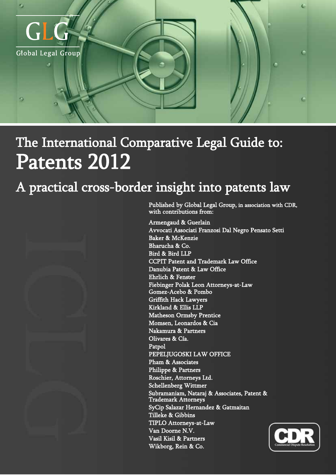

# Patents 2012 The International Comparative Legal Guide to:

# A practical cross-border insight into patents law



Published by Global Legal Group, in association with CDR, with contributions from:

Armengaud & Guerlain Avvocati Associati Franzosi Dal Negro Pensato Setti Baker & McKenzie Bharucha & Co. Bird & Bird LLP CCPIT Patent and Trademark Law Office Danubia Patent & Law Office Ehrlich & Fenster Fiebinger Polak Leon Attorneys-at-Law Gomez-Acebo & Pombo Griffith Hack Lawyers Kirkland & Ellis LLP Matheson Ormsby Prentice Momsen, Leonardos & Cia Nakamura & Partners Olivares & Cía. Patpol PEPELJUGOSKI LAW OFFICE Pham & Associates Philippe & Partners Roschier, Attorneys Ltd. Schellenberg Wittmer Subramaniam, Nataraj & Associates, Patent & Trademark Attorneys SyCip Salazar Hernandez & Gatmaitan Tilleke & Gibbins TIPLO Attorneys-at-Law Van Doorne N.V. Vasil Kisil & Partners Wikborg, Rein & Co.

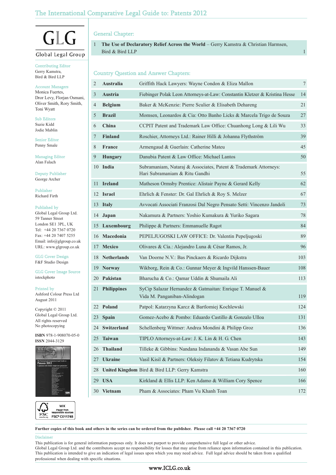### The International Comparative Legal Guide to: Patents 2012

## $\mathsf{L}$ ( 1 Global Legal Group

#### Contributing Editor Gerry Kamstra, Bird & Bird LLP

#### Account Managers

Monica Fuertes, Dror Levy, Florjan Osmani, Oliver Smith, Rory Smith, Toni Wyatt

Sub Editors Suzie Kidd Jodie Mablin

Senior Editor Penny Smale

Managing Editor Alan Falach

Deputy Publisher George Archer

Publisher Richard Firth

#### Published by

Global Legal Group Ltd. 59 Tanner Street London SE1 3PL, UK Tel: +44 20 7367 0720 Fax: +44 20 7407 5255 Email: info@glgroup.co.uk URL: www.glgroup.co.uk

GLG Cover Design F&F Studio Design

GLG Cover Image Source istockphoto

Printed by

Ashford Colour Press Ltd August 2011

Copyright © 2011 Global Legal Group Ltd. All rights reserved No photocopying

**ISBN** 978-1-908070-05-0 **ISSN** 2044-3129





### General Chapter:

1 **The Use of Declaratory Relief Across the World** – Gerry Kamstra & Christian Harmsen, Bird & Bird LLP 1 and 1 and 2 and 2 and 2 and 2 and 2 and 2 and 2 and 2 and 2 and 2 and 2 and 2 and 2 and 2 and 2 and 2 and 2 and 2 and 2 and 2 and 2 and 2 and 2 and 2 and 2 and 2 and 2 and 2 and 2 and 2 and 2 and 2 and 2

#### Country Question and Answer Chapters:

| $\mathbf{2}$ | Australia          | Griffith Hack Lawyers: Wayne Condon & Eliza Mallon                                                 | $\tau$ |
|--------------|--------------------|----------------------------------------------------------------------------------------------------|--------|
| 3            | <b>Austria</b>     | Fiebinger Polak Leon Attorneys-at-Law: Constantin Kletzer & Kristina Hesse                         | 14     |
| 4            | <b>Belgium</b>     | Baker & McKenzie: Pierre Sculier & Elisabeth Dehareng                                              | 21     |
| 5            | <b>Brazil</b>      | Momsen, Leonardos & Cia: Otto Banho Licks & Marcela Trigo de Souza                                 | 27     |
| 6            | China              | CCPIT Patent and Trademark Law Office: Chuanhong Long & Lili Wu                                    | 33     |
| 7            | <b>Finland</b>     | Roschier, Attorneys Ltd.: Rainer Hilli & Johanna Flythström                                        | 39     |
| 8            | <b>France</b>      | Armengaud & Guerlain: Catherine Mateu                                                              | 45     |
| 9            | <b>Hungary</b>     | Danubia Patent & Law Office: Michael Lantos                                                        | 50     |
| 10           | India              | Subramaniam, Nataraj & Associates, Patent & Trademark Attorneys:<br>Hari Subramaniam & Ritu Gandhi | 55     |
| 11           | <b>Ireland</b>     | Matheson Ormsby Prentice: Alistair Payne & Gerard Kelly                                            | 62     |
|              | 12 Israel          | Ehrlich & Fenster: Dr. Gal Ehrlich & Roy S. Melzer                                                 | 67     |
|              | 13 Italy           | Avvocati Associati Franzosi Dal Negro Pensato Setti: Vincenzo Jandoli                              | 73     |
|              | 14 Japan           | Nakamura & Partners: Yoshio Kumakura & Yuriko Sagara                                               | 78     |
|              | 15 Luxembourg      | Philippe & Partners: Emmanuelle Ragot                                                              | 84     |
|              | 16 Macedonia       | PEPELJUGOSKI LAW OFFICE: Dr. Valentin Pepeljugoski                                                 | 89     |
| 17           | <b>Mexico</b>      | Olivares & Cía.: Alejandro Luna & César Ramos, Jr.                                                 | 96     |
|              | 18 Netherlands     | Van Doorne N.V.: Bas Pinckaers & Ricardo Dijkstra                                                  | 103    |
| 19           | <b>Norway</b>      | Wikborg, Rein & Co.: Gunnar Meyer & Ingvild Hanssen-Bauer                                          | 108    |
| 20           | Pakistan           | Bharucha & Co.: Qamar Uddin & Shumaila Ali                                                         | 113    |
| 21           | <b>Philippines</b> | SyCip Salazar Hernandez & Gatmaitan: Enrique T. Manuel &<br>Vida M. Panganiban-Alindogan           | 119    |
|              | 22 Poland          | Patpol: Katarzyna Karcz & Bartlomiej Kochlewski                                                    | 124    |
| 23           | Spain              | Gomez-Acebo & Pombo: Eduardo Castillo & Gonzalo Ulloa                                              | 131    |
|              | 24 Switzerland     | Schellenberg Wittmer: Andrea Mondini & Philipp Groz                                                | 136    |
| 25           | <b>Taiwan</b>      | TIPLO Attorneys-at-Law: J. K. Lin & H. G. Chen                                                     | 143    |
| 26           | <b>Thailand</b>    | Tilleke & Gibbins: Nandana Indananda & Vasan Abe Sun                                               | 149    |
| 27           | <b>Ukraine</b>     | Vasil Kisil & Partners: Oleksiy Filatov & Tetiana Kudrytska                                        | 154    |
| 28           |                    | United Kingdom Bird & Bird LLP: Gerry Kamstra                                                      | 160    |
| 29           | <b>USA</b>         | Kirkland & Ellis LLP: Ken Adamo & William Cory Spence                                              | 166    |
| 30           | <b>Vietnam</b>     | Pham & Associates: Pham Vu Khanh Toan                                                              | 172    |

**Further copies of this book and others in the series can be ordered from the publisher. Please call +44 20 7367 0720**

#### Di

This publication is for general information purposes only. It does not purport to provide comprehensive full legal or other advice.

Global Legal Group Ltd. and the contributors accept no responsibility for losses that may arise from reliance upon information contained in this publication. This publication is intended to give an indication of legal issues upon which you may need advice. Full legal advice should be taken from a qualified professional when dealing with specific situations.

### www.ICLG.co.uk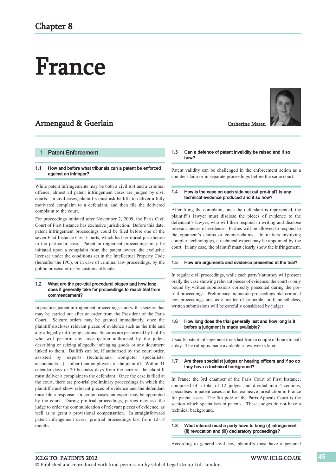# France

### Armengaud & Guerlain



#### **Patent Enforcement**

#### 1.1 How and before what tribunals can a patent be enforced against an infringer?

While patent infringements may be both a civil tort and a criminal offence, almost all patent infringement cases are judged by civil courts. In civil cases, plaintiffs must ask bailiffs to deliver a fully motivated complaint to a defendant, and then file the delivered complaint to the court.

For proceedings initiated after November 2, 2009, the Paris Civil Court of First Instance has exclusive jurisdiction. Before this date, patent infringement proceedings could be filed before one of the seven First Instance Civil Courts, which had territorial jurisdiction in the particular case. Patent infringement proceedings may be initiated upon a complaint from the patent owner, the exclusive licensee under the conditions set in the Intellectual Property Code (hereafter the IPC), or in case of criminal law proceedings, by the public prosecutor or by customs officials.

#### 1.2 What are the pre-trial procedural stages and how long does it generally take for proceedings to reach trial from commencement?

In practice, patent infringement proceedings start with a seizure that may be carried out after an order from the President of the Paris Court. Seizure orders may be granted immediately, once the plaintiff discloses relevant pieces of evidence such as the title and any allegedly infringing actions. Seizures are performed by bailiffs who will perform any investigation authorised by the judge, describing or seizing allegedly infringing goods or any document linked to them. Bailiffs can be, if authorised by the court order, assisted by experts (technicians, computer specialists,  $accountants...$ ) – other than employees of the plaintiff. Within 31 calendar days or 20 business days from the seizure, the plaintiff must deliver a complaint to the defendant. Once the case is filed at the court, there are pre-trial preliminary proceedings in which the plaintiff must show relevant pieces of evidence and the defendant must file a response. In certain cases, an expert may be appointed by the court. During pre-trial proceedings, parties may ask the judge to order the communication of relevant pieces of evidence, as well as to grant a provisional compensation. In straightforward patent infringement cases, pre-trial proceedings last from 12-18 months.

#### 1.3 Can a defence of patent invalidity be raised and if so how?

Patent validity can be challenged in the enforcement action as a counter-claim or in separate proceedings before the same court.

#### 1.4 How is the case on each side set out pre-trial? Is any technical evidence produced and if so how?

After filing the complaint, once the defendant is represented, the plaintiff´s lawyer must disclose the pieces of evidence to the defendant's lawyer, who will then respond in writing and disclose relevant pieces of evidence. Parties will be allowed to respond to the opponent's claims or counter-claims. In matters involving complex technologies, a technical expert may be appointed by the court. In any case, the plaintiff must clearly show the infringement.

#### 1.5 How are arguments and evidence presented at the trial?

In regular civil proceedings, while each party's attorney will present orally the case showing relevant pieces of evidence, the court is only bound by written submissions correctly presented during the pretrial proceedings. Preliminary injunction proceedings like criminal law proceedings are, as a matter of principle, oral; nonetheless, written submissions will be carefully considered by judges.

#### 1.6 How long does the trial generally last and how long is it before a judgment is made available?

Usually patent infringement trials last from a couple of hours to half a day. The ruling is made available a few weeks later.

#### 1.7 Are there specialist judges or hearing officers and if so do they have a technical background?

In France the 3rd chamber of the Paris Court of First Instance, composed of a total of 12 judges and divided into 4 sections, specialises in patent cases and has exclusive jurisdiction in France for patent cases. The 5th pole of the Paris Appeals Court is the section which specialises in patents. These judges do not have a technical background.

#### 1.8 What interest must a party have to bring (i) infringement (ii) revocation and (iii) declaratory proceedings?

According to general civil law, plaintiffs must have a personal

#### ICLG TO: PATENTS 2012 WWW.ICLG.CO.UK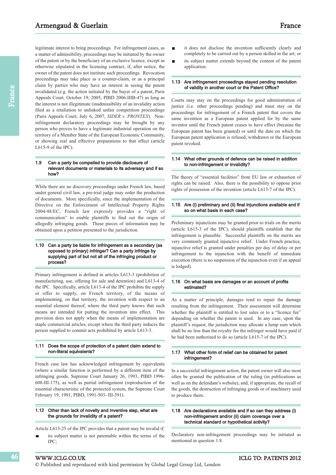legitimate interest to bring proceedings. For infringement cases, as a matter of admissibility, proceedings may be initiated by the owner of the patent or by the beneficiary of an exclusive licence, except as otherwise stipulated in the licensing contract, if, after notice, the owner of the patent does not institute such proceedings. Revocation proceedings may take place as a counter-claim, or as a principal claim by parties who may have an interest in seeing the patent invalidated (e.g. the action initiated by the buyer of a patent, Paris Appeals Court, October 19, 2005, PIBD 2006-IIIB-47) as long as the interest is not illegitimate (inadmissibility of an invalidity action filed as a retaliation to unlinked unfair competition proceedings (Paris Appeals Court, July 6, 2007, *SIDER v. PRONTEX*). Noninfringement declaratory proceedings may be brought by any person who proves to have a legitimate industrial operation on the territory of a Member State of the European Economic Community, or showing real and effective preparations to that effect (article L615-9 of the IPC).

#### 1.9 Can a party be compelled to provide disclosure of relevant documents or materials to its adversary and if so how?

While there are no discovery proceedings under French law, based under general civil law, a pre-trial judge may order the production of documents. More specifically, since the implementation of the Directive on the Enforcement of Intellectual Property Rights 2004/48/EC, French law expressly provides a "right of communication" to enable plaintiffs to find out the origin of allegedly infringing goods. These pieces of information may be obtained upon a petition presented to the jurisdiction.

#### 1.10 Can a party be liable for infringement as a secondary (as opposed to primary) infringer? Can a party infringe by supplying part of but not all of the infringing product or process?

Primary infringement is defined in articles L613-3 (prohibition of manufacturing, use, offering for sale and detention) and L613-4 of the IPC. Specifically, article L613-4 of the IPC prohibits the supply or offer to supply, on French territory, of the means of implementing, on that territory, the invention with respect to an essential element thereof, where the third party knows that such means are intended for putting the invention into effect. This provision does not apply when the means of implementation are staple commercial articles, except where the third party induces the person supplied to commit acts prohibited by article L613-3.

#### 1.11 Does the scope of protection of a patent claim extend to non-literal equivalents?

French case law has acknowledged infringement by equivalents (where a similar function is performed by a different item of the infringing goods, Supreme Court January 26, 1993, PIBD 1996- 608-III-175), as well as partial infringement (reproduction of the essential characteristic of the protected system, the Supreme Court February 19, 1991, PIBD, 1991-503- III-391).

#### 1.12 Other than lack of novelty and inventive step, what are the grounds for invalidity of a patent?

Article L613-25 of the IPC provides that a patent may be invalid if: its subject matter is not patentable within the terms of the

IPC;

- it does not disclose the invention sufficiently clearly and completely to be carried out by a person skilled in the art; or
- its subject matter extends beyond the content of the patent application.

#### 1.13 Are infringement proceedings stayed pending resolution of validity in another court or the Patent Office?

Courts may stay on the proceedings for good administration of justice (i.e. other proceedings pending) and must stay on the proceedings for infringement of a French patent that covers the same invention as a European patent applied for by the same inventor until the French patent ceases to have effect (because the European patent has been granted) or until the date on which the European patent application is refused, withdrawn or the European patent revoked.

#### 1.14 What other grounds of defence can be raised in addition to non-infringement or invalidity?

The theory of "essential facilities" from EU law or exhaustion of rights can be raised. Also, there is the possibility to oppose prior rights of possession of the invention (article L613-7 of the IPC).

#### 1.15 Are (i) preliminary and (ii) final injunctions available and if so on what basis in each case?

Preliminary injunctions may be granted prior to trials on the merits (article L615-3 of the IPC), should plaintiffs establish that the infringement is plausible. Successful plaintiffs on the merits are very commonly granted injunctive relief. Under French practice, injunctive relief is granted under penalties per day of delay or per infringement to the injunction with the benefit of immediate execution (there is no suspension of the injunction even if an appeal is lodged).

#### 1.16 On what basis are damages or an account of profits estimated?

As a matter of principle, damages tend to repair the damage resulting from the infringement. Their assessment will determine whether the plaintiff is entitled to lost sales or to a "licence fee" depending on whether the patent is used. In any case, upon the plaintiff's request, the jurisdiction may allocate a lump sum which shall be no less than the royalty fee the infringer would have paid if he had been authorised to do so (article L615-7 of the IPC).

#### 1.17 What other form of relief can be obtained for patent infringement?

In a successful infringement action, the patent owner will also most often be granted the publication of the ruling (in publications as well as on the defendant's website), and, if appropriate, the recall of the goods, the destruction of infringing goods or of machinery used to produce them.

#### 1.18 Are declarations available and if so can they address (i) non-infringement and/or (ii) claim coverage over a technical standard or hypothetical activity?

Declaratory non-infringement proceedings may be initiated as mentioned in question 1.8.

46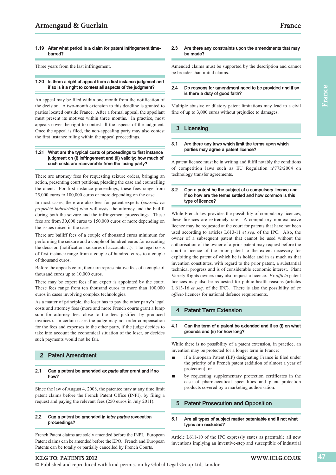#### 1.19 After what period is a claim for patent infringement timebarred?

Three years from the last infringement.

#### 1.20 Is there a right of appeal from a first instance judgment and if so is it a right to contest all aspects of the judgment?

An appeal may be filed within one month from the notification of the decision. A two-month extension to this deadline is granted to parties located outside France. After a formal appeal, the appellant must present its motives within three months. In practice, most appeals cover the right to contest all the aspects of the judgment. Once the appeal is filed, the non-appealing party may also contest the first instance ruling within the appeal proceedings.

#### 1.21 What are the typical costs of proceedings to first instance judgment on (i) infringement and (ii) validity; how much of such costs are recoverable from the losing party?

There are attorney fees for requesting seizure orders, bringing an action, presenting court petitions, pleading the case and counselling the client. For first instance proceedings, these fees range from 25,000 euros to 100,000 euros or more depending on the case.

In most cases, there are also fees for patent experts (*conseils en propriété industrielle*) who will assist the attorney and the bailiff during both the seizure and the infringement proceedings. These fees are from 30,000 euros to 150,000 euros or more depending on the issues raised in the case.

There are bailiff fees of a couple of thousand euros minimum for performing the seizure and a couple of hundred euros for executing the decision (notification, seizures of accounts…). The legal costs of first instance range from a couple of hundred euros to a couple of thousand euros.

Before the appeals court, there are representative fees of a couple of thousand euros up to 10,000 euros.

There may be expert fees if an expert is appointed by the court. These fees range from ten thousand euros to more than 100,000 euros in cases involving complex technologies.

As a matter of principle, the loser has to pay the other party's legal costs and attorney fees (more and more French courts grant a lump sum for attorney fees close to the fees justified by produced invoices). In certain cases the judge may not order compensation for the fees and expenses to the other party, if the judge decides to take into account the economical situation of the loser, or decides such payments would not be fair.

#### 2 Patent Amendment

#### 2.1 Can a patent be amended ex parte after grant and if so how?

Since the law of August 4, 2008, the patentee may at any time limit patent claims before the French Patent Office (INPI), by filing a request and paying the relevant fees (250 euros in July 2011).

#### 2.2 Can a patent be amended in inter partes revocation proceedings?

French Patent claims are solely amended before the INPI. European Patent claims can be amended before the EPO. French and European Patents can be totally or partially cancelled by French Courts.

#### 2.3 Are there any constraints upon the amendments that may be made?

Amended claims must be supported by the description and cannot be broader than initial claims.

#### 2.4 Do reasons for amendment need to be provided and if so is there a duty of good faith?

Multiple abusive or dilatory patent limitations may lead to a civil fine of up to 3,000 euros without prejudice to damages.

#### 3 Licensing

#### 3.1 Are there any laws which limit the terms upon which parties may agree a patent licence?

A patent licence must be in writing and fulfil notably the conditions of competition laws such as EU Regulation nº772/2004 on technology transfer agreements.

#### 3.2 Can a patent be the subject of a compulsory licence and if so how are the terms settled and how common is this type of licence?

While French law provides the possibility of compulsory licences, these licences are extremely rare. A compulsory non-exclusive licence may be requested at the court for patents that have not been used according to articles L613-11 *et seq.* of the IPC. Also, the owner of a subsequent patent that cannot be used without the authorisation of the owner of a prior patent may request before the court a licence of the prior patent to the extent necessary for exploiting the patent of which he is holder and in as much as that invention constitutes, with regard to the prior patent, a substantial technical progress and is of considerable economic interest. Plant Variety Rights owners may also request a licence. *Ex officio* patent licences may also be requested for public health reasons (articles L.613-16 *et seq.* of the IPC). There is also the possibility of *ex officio* licences for national defence requirements.

#### **Patent Term Extension**

#### 4.1 Can the term of a patent be extended and if so (i) on what grounds and (ii) for how long?

While there is no possibility of a patent extension, in practice, an invention may be protected for a longer term in France:

- if a European Patent (EP) designating France is filed under the priority of a French patent (addition of almost a year of protection); or
- by requesting supplementary protection certificates in the case of pharmaceutical specialities and plant protection products covered by a marketing authorisation.

#### 5 Patent Prosecution and Opposition

#### 5.1 Are all types of subject matter patentable and if not what types are excluded?

Article L611-10 of the IPC expressly states as patentable all new inventions implying an inventive-step and susceptible of industrial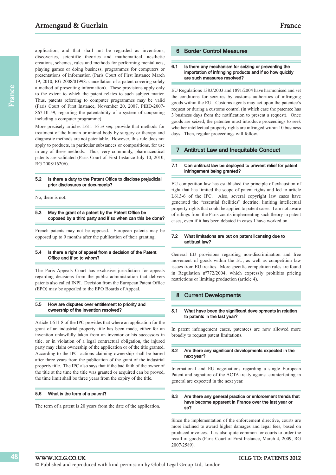application, and that shall not be regarded as inventions, discoveries, scientific theories and mathematical, aesthetic creations, schemes, rules and methods for performing mental acts, playing games or doing business, programmes for computers or presentations of information (Paris Court of First Instance March 19, 2010, RG 2008/01998: cancellation of a patent covering solely a method of presenting information). These provisions apply only to the extent to which the patent relates to such subject matter. Thus, patents referring to computer programmes may be valid (Paris Court of First Instance, November 20, 2007, PIBD-2007- 867-III-59, regarding the patentability of a system of couponing including a computer programme).

More precisely articles L611-16 *et seq.* provide that methods for treatment of the human or animal body by surgery or therapy and diagnostic methods are not patentable. However, this rule does not apply to products, in particular substances or compositions, for use in any of these methods. Thus, very commonly, pharmaceutical patents are validated (Paris Court of First Instance July 10, 2010, RG 2008/16206).

#### 5.2 Is there a duty to the Patent Office to disclose prejudicial prior disclosures or documents?

No, there is not.

#### 5.3 May the grant of a patent by the Patent Office be opposed by a third party and if so when can this be done?

French patents may not be opposed. European patents may be opposed up to 9 months after the publication of their granting.

#### 5.4 Is there a right of appeal from a decision of the Patent Office and if so to whom?

The Paris Appeals Court has exclusive jurisdiction for appeals regarding decisions from the public administration that delivers patents also called INPI. Decision from the European Patent Office (EPO) may be appealed to the EPO Boards of Appeal.

#### 5.5 How are disputes over entitlement to priority and ownership of the invention resolved?

Article L611-8 of the IPC provides that where an application for the grant of an industrial property title has been made, either for an invention unlawfully taken from an inventor or his successors in title, or in violation of a legal contractual obligation, the injured party may claim ownership of the application or of the title granted. According to the IPC, actions claiming ownership shall be barred after three years from the publication of the grant of the industrial property title. The IPC also says that if the bad faith of the owner of the title at the time the title was granted or acquired can be proved, the time limit shall be three years from the expiry of the title.

#### 5.6 What is the term of a patent?

The term of a patent is 20 years from the date of the application.

#### 6 Border Control Measures

#### 6.1 Is there any mechanism for seizing or preventing the importation of infringing products and if so how quickly are such measures resolved?

EU Regulations 1383/2003 and 1891/2004 have harmonised and set the conditions for seizures by customs authorities of infringing goods within the EU. Customs agents may act upon the patentee's request or during a customs control (in which case the patentee has 3 business days from the notification to present a request). Once goods are seized, the patentee must introduce proceedings to seek whether intellectual property rights are infringed within 10 business days. Then, regular proceedings will follow.

#### 7 Antitrust Law and Inequitable Conduct

#### 7.1 Can antitrust law be deployed to prevent relief for patent infringement being granted?

EU competition law has established the principle of exhaustion of right that has limited the scope of patent rights and led to article L613-6 of the IPC. Also, several copyright law cases have generated the "essential facilities" doctrine, limiting intellectual property rights that could be applied to patent cases. I am not aware of rulings from the Paris courts implementing such theory in patent cases, even if it has been debated in cases I have worked on.

#### 7.2 What limitations are put on patent licensing due to antitrust law?

General EU provisions regarding non-discrimination and free movement of goods within the EU, as well as competition law issues from EU treaties. More specific competition rules are found in Regulation nº772/2004, which expressly prohibits pricing restrictions or limiting production (article 4).

#### 8 Current Developments

#### 8.1 What have been the significant developments in relation to patents in the last year?

In patent infringement cases, patentees are now allowed more broadly to request patent limitations.

#### 8.2 Are there any significant developments expected in the next year?

International and EU negotiations regarding a single European Patent and signature of the ACTA treaty against counterfeiting in general are expected in the next year.

#### 8.3 Are there any general practice or enforcement trends that have become apparent in France over the last year or so?

Since the implementation of the enforcement directive, courts are more inclined to award higher damages and legal fees, based on produced invoices. It is also quite common for courts to order the recall of goods (Paris Court of First Instance, March 4, 2009, RG 2007/2589).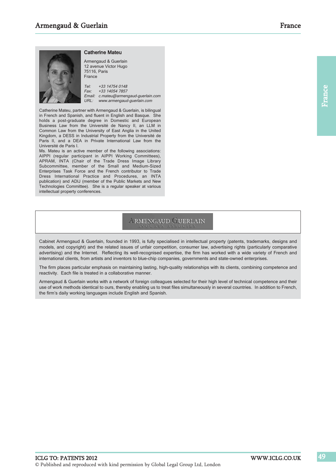

#### Catherine Mateu

12 avenue Victor Hugo 75116, Paris France Tel: +33 14754 0148 Fax: +33 14054 7857 Email: c.mateu@armengaud-guerlain.com URL: www.armengaud-guerlain.com

Catherine Mateu, partner with Armengaud & Guerlain, is bilingual in French and Spanish, and fluent in English and Basque. She holds a post-graduate degree in Domestic and European Business Law from the Université de Nancy II, an LLM in Common Law from the University of East Anglia in the United Kingdom, a DESS in Industrial Property from the Université de Paris II, and a DEA in Private International Law from the Université de Paris I.

Ms. Mateu is an active member of the following associations: AIPPI (regular participant in AIPPI Working Committees), APRAM, INTA (Chair of the Trade Dress Image Library Subcommittee, member of the Small and Medium-Sized Enterprises Task Force and the French contributor to Trade Dress International Practice and Procedures, an INTA publication) and ADIJ (member of the Public Markets and New Technologies Committee). She is a regular speaker at various intellectual property conferences.

## **ARMENGAUD GUERLAIN**

Cabinet Armengaud & Guerlain, founded in 1993, is fully specialised in intellectual property (patents, trademarks, designs and models, and copyright) and the related issues of unfair competition, consumer law, advertising rights (particularly comparative advertising) and the Internet. Reflecting its well-recognised expertise, the firm has worked with a wide variety of French and international clients, from artists and inventors to blue-chip companies, governments and state-owned enterprises.

The firm places particular emphasis on maintaining lasting, high-quality relationships with its clients, combining competence and reactivity. Each file is treated in a collaborative manner.

Armengaud & Guerlain works with a network of foreign colleagues selected for their high level of technical competence and their use of work methods identical to ours, thereby enabling us to treat files simultaneously in several countries. In addition to French, the firm's daily working languages include English and Spanish.